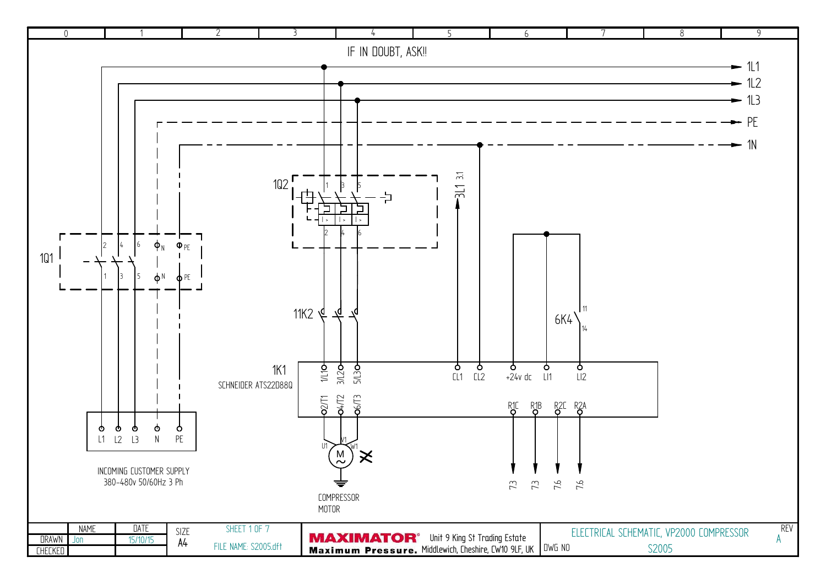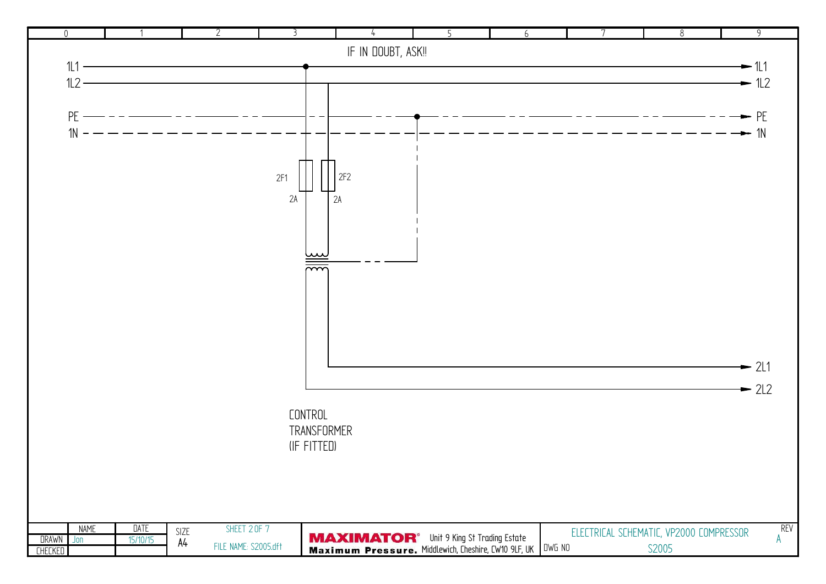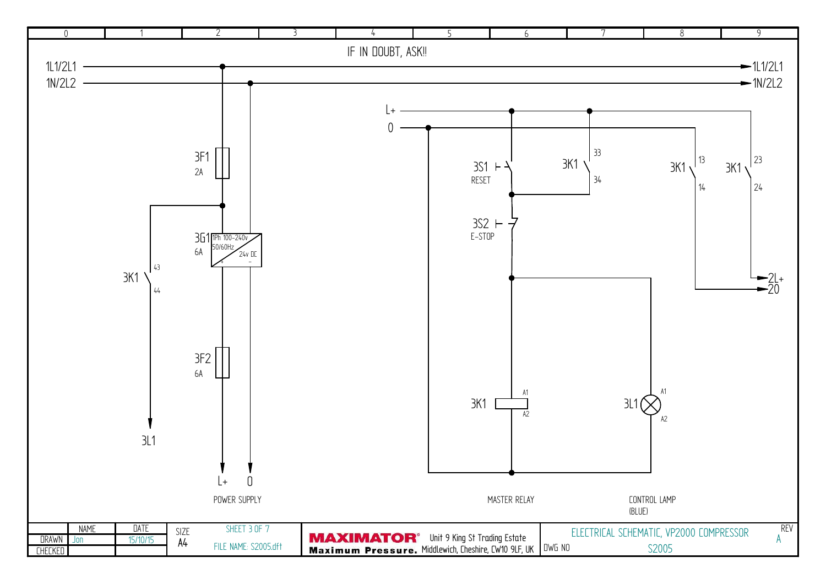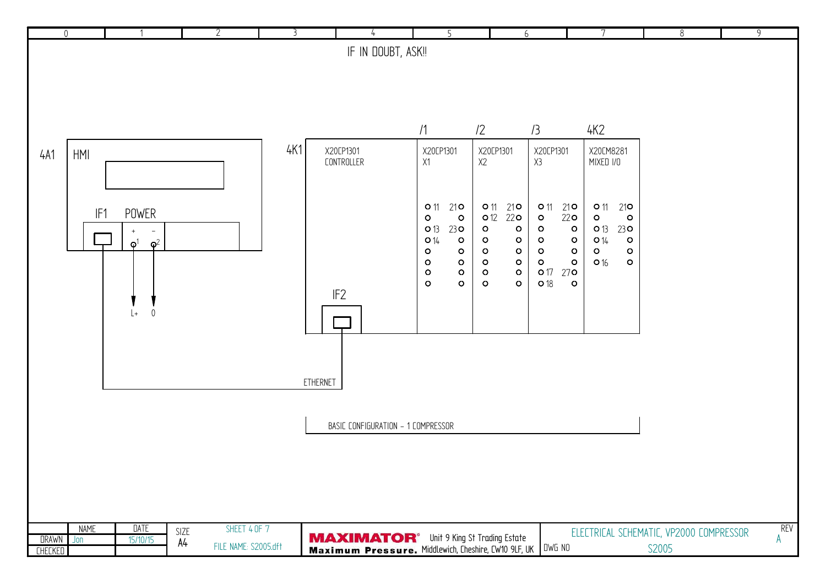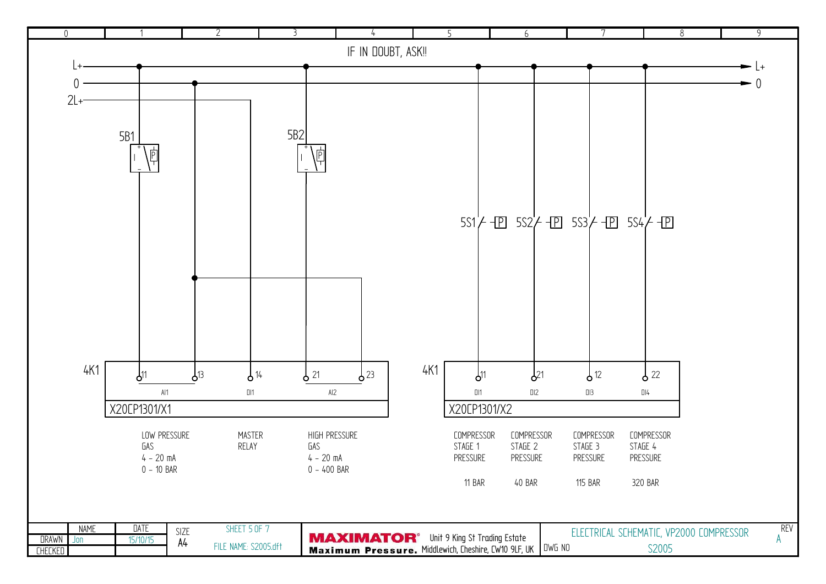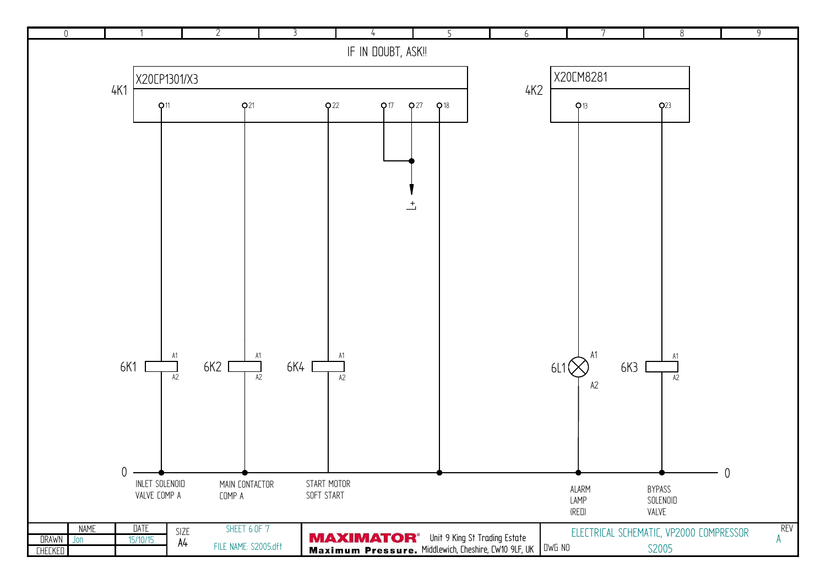